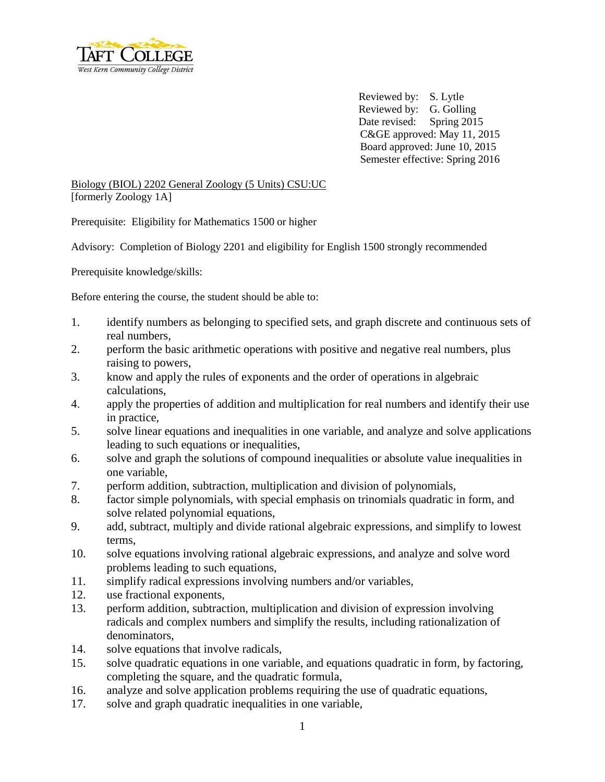

 Reviewed by: S. Lytle Reviewed by: G. Golling Date revised: Spring 2015 C&GE approved: May 11, 2015 Board approved: June 10, 2015 Semester effective: Spring 2016

## Biology (BIOL) 2202 General Zoology (5 Units) CSU:UC [formerly Zoology 1A]

Prerequisite: Eligibility for Mathematics 1500 or higher

Advisory: Completion of Biology 2201 and eligibility for English 1500 strongly recommended

Prerequisite knowledge/skills:

Before entering the course, the student should be able to:

- 1. identify numbers as belonging to specified sets, and graph discrete and continuous sets of real numbers,
- 2. perform the basic arithmetic operations with positive and negative real numbers, plus raising to powers,
- 3. know and apply the rules of exponents and the order of operations in algebraic calculations,
- 4. apply the properties of addition and multiplication for real numbers and identify their use in practice,
- 5. solve linear equations and inequalities in one variable, and analyze and solve applications leading to such equations or inequalities,
- 6. solve and graph the solutions of compound inequalities or absolute value inequalities in one variable,
- 7. perform addition, subtraction, multiplication and division of polynomials,
- 8. factor simple polynomials, with special emphasis on trinomials quadratic in form, and solve related polynomial equations,
- 9. add, subtract, multiply and divide rational algebraic expressions, and simplify to lowest terms,
- 10. solve equations involving rational algebraic expressions, and analyze and solve word problems leading to such equations,
- 11. simplify radical expressions involving numbers and/or variables,
- 12. use fractional exponents,
- 13. perform addition, subtraction, multiplication and division of expression involving radicals and complex numbers and simplify the results, including rationalization of denominators,
- 14. solve equations that involve radicals,
- 15. solve quadratic equations in one variable, and equations quadratic in form, by factoring, completing the square, and the quadratic formula,
- 16. analyze and solve application problems requiring the use of quadratic equations,
- 17. solve and graph quadratic inequalities in one variable,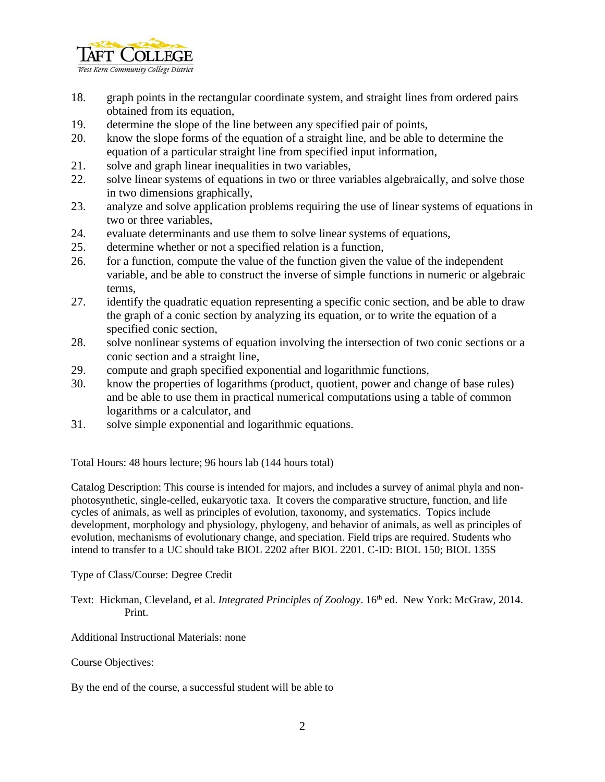

- 18. graph points in the rectangular coordinate system, and straight lines from ordered pairs obtained from its equation,
- 19. determine the slope of the line between any specified pair of points,
- 20. know the slope forms of the equation of a straight line, and be able to determine the equation of a particular straight line from specified input information,
- 21. solve and graph linear inequalities in two variables,
- 22. solve linear systems of equations in two or three variables algebraically, and solve those in two dimensions graphically,
- 23. analyze and solve application problems requiring the use of linear systems of equations in two or three variables,
- 24. evaluate determinants and use them to solve linear systems of equations,
- 25. determine whether or not a specified relation is a function,
- 26. for a function, compute the value of the function given the value of the independent variable, and be able to construct the inverse of simple functions in numeric or algebraic terms,
- 27. identify the quadratic equation representing a specific conic section, and be able to draw the graph of a conic section by analyzing its equation, or to write the equation of a specified conic section,
- 28. solve nonlinear systems of equation involving the intersection of two conic sections or a conic section and a straight line,
- 29. compute and graph specified exponential and logarithmic functions,
- 30. know the properties of logarithms (product, quotient, power and change of base rules) and be able to use them in practical numerical computations using a table of common logarithms or a calculator, and
- 31. solve simple exponential and logarithmic equations.

Total Hours: 48 hours lecture; 96 hours lab (144 hours total)

Catalog Description: This course is intended for majors, and includes a survey of animal phyla and nonphotosynthetic, single-celled, eukaryotic taxa. It covers the comparative structure, function, and life cycles of animals, as well as principles of evolution, taxonomy, and systematics. Topics include development, morphology and physiology, phylogeny, and behavior of animals, as well as principles of evolution, mechanisms of evolutionary change, and speciation. Field trips are required. Students who intend to transfer to a UC should take BIOL 2202 after BIOL 2201. C-ID: BIOL 150; BIOL 135S

Type of Class/Course: Degree Credit

Text: Hickman, Cleveland, et al. *Integrated Principles of Zoology*. 16<sup>th</sup> ed. New York: McGraw, 2014. Print.

Additional Instructional Materials: none

Course Objectives:

By the end of the course, a successful student will be able to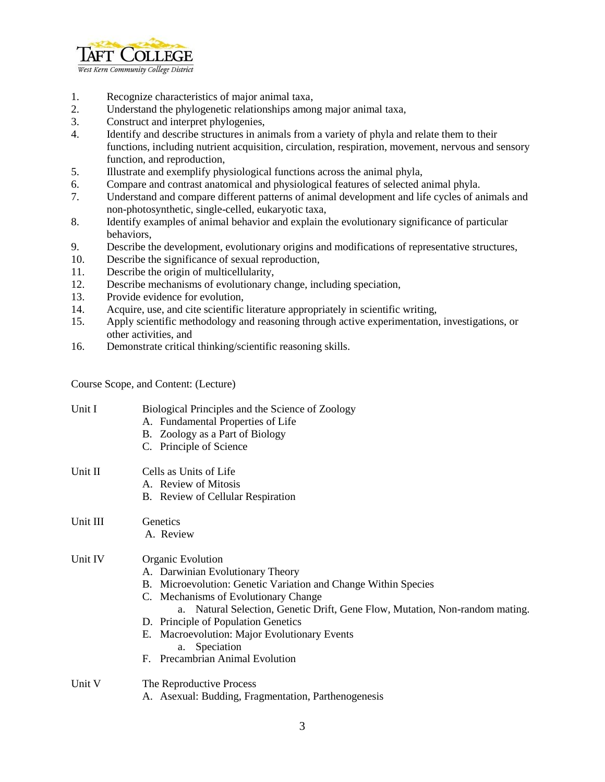

- 1. Recognize characteristics of major animal taxa,
- 2. Understand the phylogenetic relationships among major animal taxa,
- 3. Construct and interpret phylogenies,
- 4. Identify and describe structures in animals from a variety of phyla and relate them to their functions, including nutrient acquisition, circulation, respiration, movement, nervous and sensory function, and reproduction,
- 5. Illustrate and exemplify physiological functions across the animal phyla,
- 6. Compare and contrast anatomical and physiological features of selected animal phyla.
- 7. Understand and compare different patterns of animal development and life cycles of animals and non-photosynthetic, single-celled, eukaryotic taxa,
- 8. Identify examples of animal behavior and explain the evolutionary significance of particular behaviors,
- 9. Describe the development, evolutionary origins and modifications of representative structures,
- 10. Describe the significance of sexual reproduction,
- 11. Describe the origin of multicellularity,
- 12. Describe mechanisms of evolutionary change, including speciation,
- 13. Provide evidence for evolution,
- 14. Acquire, use, and cite scientific literature appropriately in scientific writing,
- 15. Apply scientific methodology and reasoning through active experimentation, investigations, or other activities, and
- 16. Demonstrate critical thinking/scientific reasoning skills.

Course Scope, and Content: (Lecture)

| Unit I   | Biological Principles and the Science of Zoology<br>A. Fundamental Properties of Life<br>B. Zoology as a Part of Biology<br>C. Principle of Science                                                                                                                                                                                                                                        |
|----------|--------------------------------------------------------------------------------------------------------------------------------------------------------------------------------------------------------------------------------------------------------------------------------------------------------------------------------------------------------------------------------------------|
| Unit II  | Cells as Units of Life<br>A. Review of Mitosis<br>B. Review of Cellular Respiration                                                                                                                                                                                                                                                                                                        |
| Unit III | Genetics<br>A. Review                                                                                                                                                                                                                                                                                                                                                                      |
| Unit IV  | Organic Evolution<br>A. Darwinian Evolutionary Theory<br>B. Microevolution: Genetic Variation and Change Within Species<br>C. Mechanisms of Evolutionary Change<br>a. Natural Selection, Genetic Drift, Gene Flow, Mutation, Non-random mating.<br>D. Principle of Population Genetics<br>E. Macroevolution: Major Evolutionary Events<br>a. Speciation<br>F. Precambrian Animal Evolution |
| Unit V   | The Reproductive Process<br>A. Asexual: Budding, Fragmentation, Parthenogenesis                                                                                                                                                                                                                                                                                                            |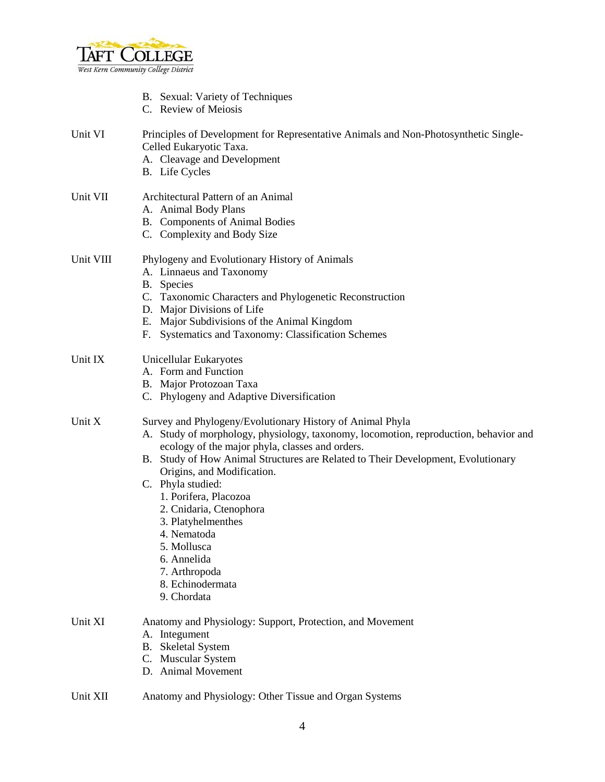

- B. Sexual: Variety of Techniques
- C. Review of Meiosis

## Unit VI Principles of Development for Representative Animals and Non-Photosynthetic Single-Celled Eukaryotic Taxa.

- A. Cleavage and Development
- B. Life Cycles

# Unit VII Architectural Pattern of an Animal A. Animal Body Plans

- B. Components of Animal Bodies
- C. Complexity and Body Size

# Unit VIII Phylogeny and Evolutionary History of Animals

## A. Linnaeus and Taxonomy

- B. Species
- C. Taxonomic Characters and Phylogenetic Reconstruction
- D. Major Divisions of Life
- E. Major Subdivisions of the Animal Kingdom
- F. Systematics and Taxonomy: Classification Schemes

# Unit IX Unicellular Eukaryotes

- A. Form and Function
- B. Major Protozoan Taxa
- C. Phylogeny and Adaptive Diversification

# Unit X Survey and Phylogeny/Evolutionary History of Animal Phyla

- A. Study of morphology, physiology, taxonomy, locomotion, reproduction, behavior and ecology of the major phyla, classes and orders.
- B. Study of How Animal Structures are Related to Their Development, Evolutionary Origins, and Modification.
- C. Phyla studied:
	- 1. Porifera, Placozoa
	- 2. Cnidaria, Ctenophora
	- 3. Platyhelmenthes
	- 4. Nematoda
	- 5. Mollusca
	- 6. Annelida
	- 7. Arthropoda
	- 8. Echinodermata
	- 9. Chordata

# Unit XI Anatomy and Physiology: Support, Protection, and Movement

- A. Integument
- B. Skeletal System
- C. Muscular System
- D. Animal Movement

#### Unit XII Anatomy and Physiology: Other Tissue and Organ Systems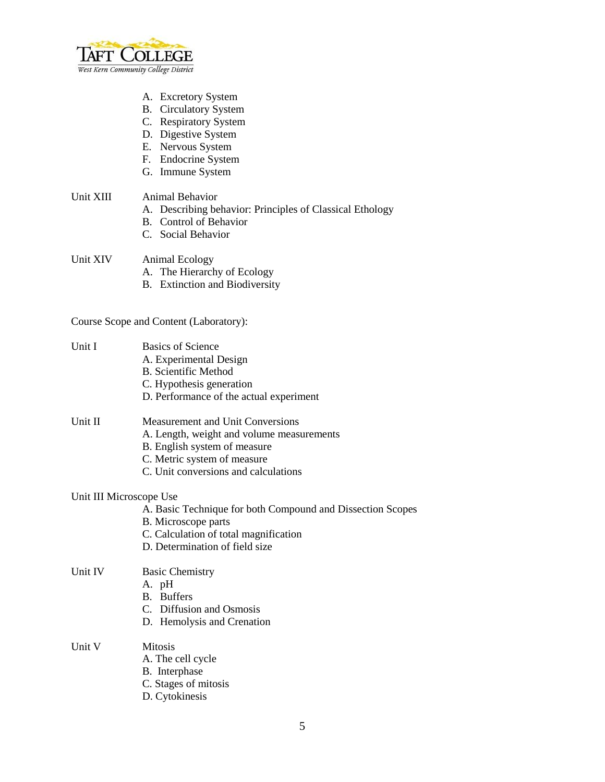

- A. Excretory System
- B. Circulatory System
- C. Respiratory System
- D. Digestive System
- E. Nervous System
- F. Endocrine System
- G. Immune System

## Unit XIII Animal Behavior

- A. Describing behavior: Principles of Classical Ethology
- B. Control of Behavior
- C. Social Behavior

#### Unit XIV Animal Ecology

- A. The Hierarchy of Ecology
- B. Extinction and Biodiversity

# Course Scope and Content (Laboratory):

| Unit I  | <b>Basics of Science</b><br>A. Experimental Design<br><b>B.</b> Scientific Method<br>C. Hypothesis generation<br>D. Performance of the actual experiment                                |  |
|---------|-----------------------------------------------------------------------------------------------------------------------------------------------------------------------------------------|--|
| Unit II | Measurement and Unit Conversions<br>A. Length, weight and volume measurements<br>B. English system of measure<br>C. Metric system of measure<br>C. Unit conversions and calculations    |  |
|         | Unit III Microscope Use<br>A. Basic Technique for both Compound and Dissection Scopes<br>B. Microscope parts<br>C. Calculation of total magnification<br>D. Determination of field size |  |
| Unit IV | <b>Basic Chemistry</b><br>A. pH<br><b>B.</b> Buffers<br>C. Diffusion and Osmosis<br>D. Hemolysis and Crenation                                                                          |  |
| Unit V  | <b>Mitosis</b><br>A. The cell cycle                                                                                                                                                     |  |

- B. Interphase
- C. Stages of mitosis
- D. Cytokinesis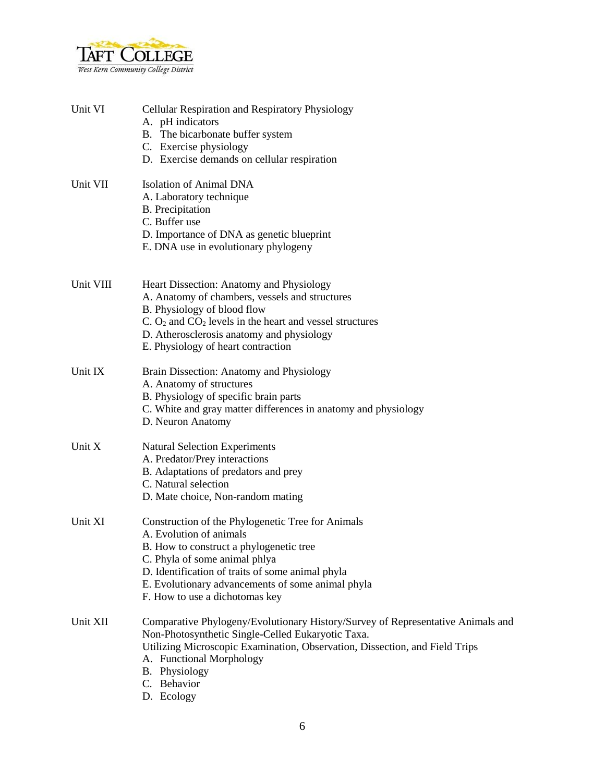

| Unit VI   | Cellular Respiration and Respiratory Physiology<br>A. pH indicators<br>B. The bicarbonate buffer system<br>C. Exercise physiology<br>D. Exercise demands on cellular respiration                                                                                                                    |
|-----------|-----------------------------------------------------------------------------------------------------------------------------------------------------------------------------------------------------------------------------------------------------------------------------------------------------|
| Unit VII  | <b>Isolation of Animal DNA</b><br>A. Laboratory technique<br><b>B.</b> Precipitation<br>C. Buffer use<br>D. Importance of DNA as genetic blueprint<br>E. DNA use in evolutionary phylogeny                                                                                                          |
| Unit VIII | Heart Dissection: Anatomy and Physiology<br>A. Anatomy of chambers, vessels and structures<br>B. Physiology of blood flow<br>$C. O2$ and $CO2$ levels in the heart and vessel structures<br>D. Atherosclerosis anatomy and physiology<br>E. Physiology of heart contraction                         |
| Unit IX   | Brain Dissection: Anatomy and Physiology<br>A. Anatomy of structures<br>B. Physiology of specific brain parts<br>C. White and gray matter differences in anatomy and physiology<br>D. Neuron Anatomy                                                                                                |
| Unit X    | <b>Natural Selection Experiments</b><br>A. Predator/Prey interactions<br>B. Adaptations of predators and prey<br>C. Natural selection<br>D. Mate choice, Non-random mating                                                                                                                          |
| Unit XI   | Construction of the Phylogenetic Tree for Animals<br>A. Evolution of animals<br>B. How to construct a phylogenetic tree<br>C. Phyla of some animal phlya<br>D. Identification of traits of some animal phyla<br>E. Evolutionary advancements of some animal phyla<br>F. How to use a dichotomas key |
| Unit XII  | Comparative Phylogeny/Evolutionary History/Survey of Representative Animals and<br>Non-Photosynthetic Single-Celled Eukaryotic Taxa.<br>Utilizing Microscopic Examination, Observation, Dissection, and Field Trips<br>A. Functional Morphology<br>B. Physiology<br>C. Behavior<br>D. Ecology       |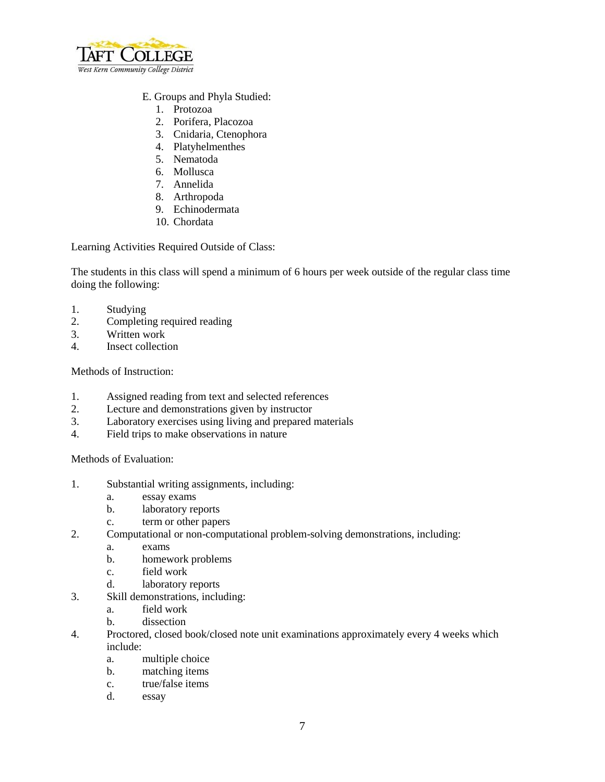

## E. Groups and Phyla Studied:

- 1. Protozoa
- 2. Porifera, Placozoa
- 3. Cnidaria, Ctenophora
- 4. Platyhelmenthes
- 5. Nematoda
- 6. Mollusca
- 7. Annelida
- 8. Arthropoda
- 9. Echinodermata
- 10. Chordata

Learning Activities Required Outside of Class:

The students in this class will spend a minimum of 6 hours per week outside of the regular class time doing the following:

- 1. Studying
- 2. Completing required reading
- 3. Written work
- 4. Insect collection

Methods of Instruction:

- 1. Assigned reading from text and selected references
- 2. Lecture and demonstrations given by instructor
- 3. Laboratory exercises using living and prepared materials
- 4. Field trips to make observations in nature

Methods of Evaluation:

- 1. Substantial writing assignments, including:
	- a. essay exams
	- b. laboratory reports
	- c. term or other papers
- 2. Computational or non-computational problem-solving demonstrations, including:
	- a. exams
	- b. homework problems
	- c. field work
	- d. laboratory reports
- 3. Skill demonstrations, including:
	- a. field work
	- b. dissection
- 4. Proctored, closed book/closed note unit examinations approximately every 4 weeks which include:
	- a. multiple choice
	- b. matching items
	- c. true/false items
	- d. essay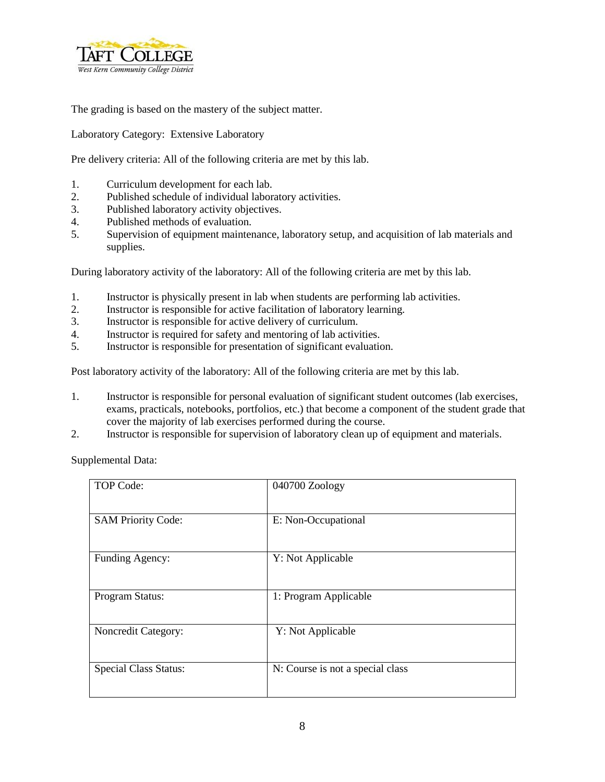

The grading is based on the mastery of the subject matter.

Laboratory Category: Extensive Laboratory

Pre delivery criteria: All of the following criteria are met by this lab.

- 1. Curriculum development for each lab.
- 2. Published schedule of individual laboratory activities.
- 3. Published laboratory activity objectives.
- 4. Published methods of evaluation.<br>5. Supervision of equipment mainter
- 5. Supervision of equipment maintenance, laboratory setup, and acquisition of lab materials and supplies.

During laboratory activity of the laboratory: All of the following criteria are met by this lab.

- 1. Instructor is physically present in lab when students are performing lab activities.
- 2. Instructor is responsible for active facilitation of laboratory learning.
- 3. Instructor is responsible for active delivery of curriculum.
- 4. Instructor is required for safety and mentoring of lab activities.
- 5. Instructor is responsible for presentation of significant evaluation.

Post laboratory activity of the laboratory: All of the following criteria are met by this lab.

- 1. Instructor is responsible for personal evaluation of significant student outcomes (lab exercises, exams, practicals, notebooks, portfolios, etc.) that become a component of the student grade that cover the majority of lab exercises performed during the course.
- 2. Instructor is responsible for supervision of laboratory clean up of equipment and materials.

Supplemental Data:

| TOP Code:                    | 040700 Zoology                   |
|------------------------------|----------------------------------|
| <b>SAM Priority Code:</b>    | E: Non-Occupational              |
| Funding Agency:              | Y: Not Applicable                |
| Program Status:              | 1: Program Applicable            |
| Noncredit Category:          | Y: Not Applicable                |
| <b>Special Class Status:</b> | N: Course is not a special class |